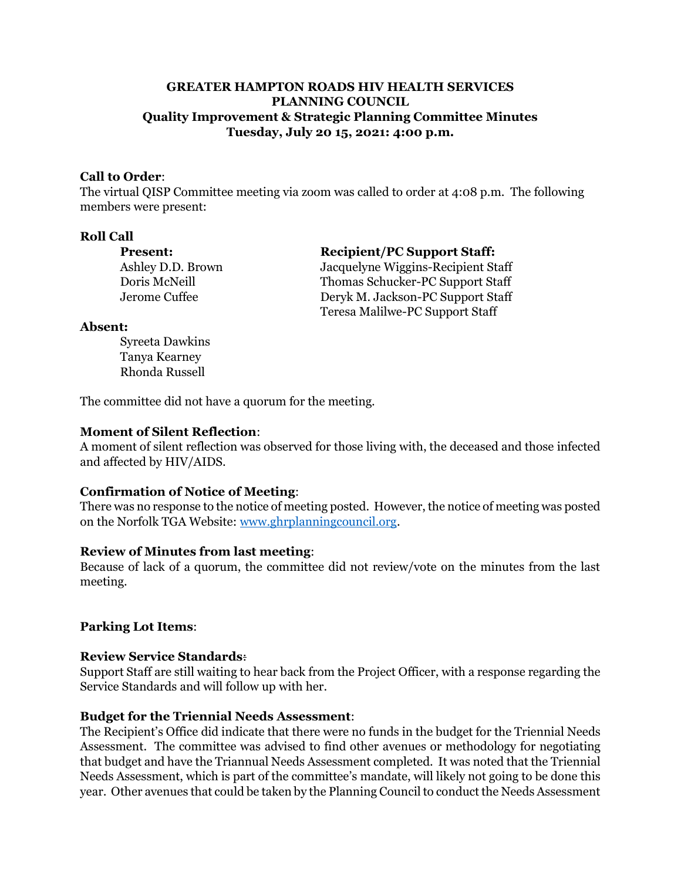# **GREATER HAMPTON ROADS HIV HEALTH SERVICES PLANNING COUNCIL Quality Improvement & Strategic Planning Committee Minutes Tuesday, July 20 15, 2021: 4:00 p.m.**

#### **Call to Order**:

The virtual QISP Committee meeting via zoom was called to order at 4:08 p.m. The following members were present:

#### **Roll Call**

| Present:          |  |
|-------------------|--|
| Ashley D.D. Brown |  |
| Doris McNeill     |  |
| Jerome Cuffee     |  |

#### **Present: Recipient/PC Support Staff:**

Ashley D.D. Brown Jacquelyne Wiggins-Recipient Staff Doris McNeill Thomas Schucker-PC Support Staff Deryk M. Jackson-PC Support Staff Teresa Malilwe-PC Support Staff

#### **Absent:**

Syreeta Dawkins Tanya Kearney Rhonda Russell

The committee did not have a quorum for the meeting.

## **Moment of Silent Reflection**:

A moment of silent reflection was observed for those living with, the deceased and those infected and affected by HIV/AIDS.

## **Confirmation of Notice of Meeting**:

There was no response to the notice of meeting posted. However, the notice of meeting was posted on the Norfolk TGA Website[: www.ghrplanningcouncil.org.](http://www.ghrplanningcouncil.org/)

#### **Review of Minutes from last meeting**:

Because of lack of a quorum, the committee did not review/vote on the minutes from the last meeting.

## **Parking Lot Items**:

#### **Review Service Standards**:

Support Staff are still waiting to hear back from the Project Officer, with a response regarding the Service Standards and will follow up with her.

## **Budget for the Triennial Needs Assessment**:

The Recipient's Office did indicate that there were no funds in the budget for the Triennial Needs Assessment. The committee was advised to find other avenues or methodology for negotiating that budget and have the Triannual Needs Assessment completed. It was noted that the Triennial Needs Assessment, which is part of the committee's mandate, will likely not going to be done this year. Other avenues that could be taken by the Planning Council to conduct the Needs Assessment